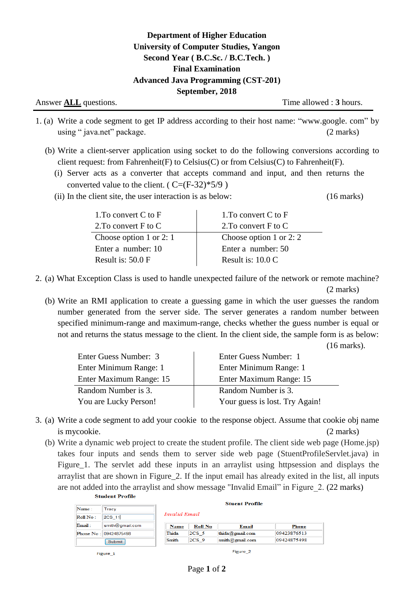Answer **ALL** questions. Time allowed : **3** hours.

- 1. (a) Write a code segment to get IP address according to their host name: "www.google. com" by using " java.net" package. (2 marks)
	- (b) Write a client-server application using socket to do the following conversions according to client request: from Fahrenheit(F) to Celsius(C) or from Celsius(C) to Fahrenheit(F).
		- (i) Server acts as a converter that accepts command and input, and then returns the converted value to the client. ( $C=(F-32)*5/9$ )
		- (ii) In the client site, the user interaction is as below: (16 marks)

| 1. To convert $C$ to $F$ |
|--------------------------|
| 2. To convert F to C     |
| Choose option 1 or 2: 2  |
| Enter a number: 50       |
| Result is: $10.0 C$      |
|                          |

2. (a) What Exception Class is used to handle unexpected failure of the network or remote machine? (2 marks)

(b) Write an RMI application to create a guessing game in which the user guesses the random number generated from the server side. The server generates a random number between specified minimum-range and maximum-range, checks whether the guess number is equal or not and returns the status message to the client. In the client side, the sample form is as below:

(16 marks).

| Enter Guess Number: 3   | Enter Guess Number: 1          |
|-------------------------|--------------------------------|
| Enter Minimum Range: 1  | Enter Minimum Range: 1         |
| Enter Maximum Range: 15 | Enter Maximum Range: 15        |
| Random Number is 3.     | Random Number is 3.            |
| You are Lucky Person!   | Your guess is lost. Try Again! |
|                         |                                |

- 3. (a) Write a code segment to add your cookie to the response object. Assume that cookie obj name is mycookie. (2 marks)
	- (b) Write a dynamic web project to create the student profile. The client side web page (Home.jsp) takes four inputs and sends them to server side web page (StuentProfileServlet.java) in Figure\_1. The servlet add these inputs in an arraylist using httpsession and displays the arraylist that are shown in Figure\_2. If the input email has already exited in the list, all inputs are not added into the arraylist and show message "Invalid Email" in Figure\_2. (22 marks)

|          |                       | <b>Stuent Profile</b> |                |                    |             |
|----------|-----------------------|-----------------------|----------------|--------------------|-------------|
| Name:    | Tracy                 |                       |                |                    |             |
| Roll No: | <b>2CS 11</b>         | Invalid Email         |                |                    |             |
| Email:   | smith@gmail.com       | <b>Name</b>           | <b>Roll No</b> | Email              | Phone       |
|          | Phone No: 09424875498 | Thida                 | $2CS$ 5        | thida@gmail.com    | 09423876513 |
|          | Submit                | Smith                 | $2CS$ 9        | $s$ mith@gmail.com | 09424875498 |

Figure 1

Figure 2